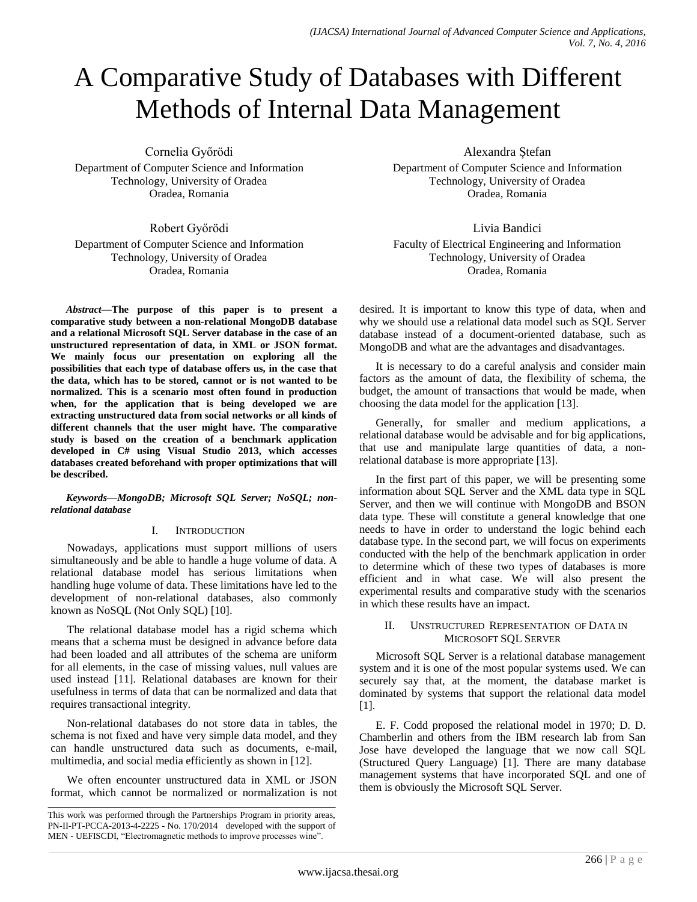# A Comparative Study of Databases with Different Methods of Internal Data Management

Cornelia Győrödi

Department of Computer Science and Information Technology, University of Oradea Oradea, Romania

Robert Győrödi

Department of Computer Science and Information Technology, University of Oradea Oradea, Romania

*Abstract***—The purpose of this paper is to present a comparative study between a non-relational MongoDB database and a relational Microsoft SQL Server database in the case of an unstructured representation of data, in XML or JSON format. We mainly focus our presentation on exploring all the possibilities that each type of database offers us, in the case that the data, which has to be stored, cannot or is not wanted to be normalized. This is a scenario most often found in production when, for the application that is being developed we are extracting unstructured data from social networks or all kinds of different channels that the user might have. The comparative study is based on the creation of a benchmark application developed in C# using Visual Studio 2013, which accesses databases created beforehand with proper optimizations that will be described.**

*Keywords—MongoDB; Microsoft SQL Server; NoSQL; nonrelational database*

## I. INTRODUCTION

Nowadays, applications must support millions of users simultaneously and be able to handle a huge volume of data. A relational database model has serious limitations when handling huge volume of data. These limitations have led to the development of non-relational databases, also commonly known as NoSQL (Not Only SQL) [10].

The relational database model has a rigid schema which means that a schema must be designed in advance before data had been loaded and all attributes of the schema are uniform for all elements, in the case of missing values, null values are used instead [11]. Relational databases are known for their usefulness in terms of data that can be normalized and data that requires transactional integrity.

Non-relational databases do not store data in tables, the schema is not fixed and have very simple data model, and they can handle unstructured data such as documents, e-mail, multimedia, and social media efficiently as shown in [12].

We often encounter unstructured data in XML or JSON format, which cannot be normalized or normalization is not Alexandra Ștefan

Department of Computer Science and Information Technology, University of Oradea Oradea, Romania

Livia Bandici Faculty of Electrical Engineering and Information Technology, University of Oradea Oradea, Romania

desired. It is important to know this type of data, when and why we should use a relational data model such as SQL Server database instead of a document-oriented database, such as MongoDB and what are the advantages and disadvantages.

It is necessary to do a careful analysis and consider main factors as the amount of data, the flexibility of schema, the budget, the amount of transactions that would be made, when choosing the data model for the application [13].

Generally, for smaller and medium applications, a relational database would be advisable and for big applications, that use and manipulate large quantities of data, a nonrelational database is more appropriate [13].

In the first part of this paper, we will be presenting some information about SQL Server and the XML data type in SQL Server, and then we will continue with MongoDB and BSON data type. These will constitute a general knowledge that one needs to have in order to understand the logic behind each database type. In the second part, we will focus on experiments conducted with the help of the benchmark application in order to determine which of these two types of databases is more efficient and in what case. We will also present the experimental results and comparative study with the scenarios in which these results have an impact.

## II. UNSTRUCTURED REPRESENTATION OF DATA IN MICROSOFT SQL SERVER

Microsoft SQL Server is a relational database management system and it is one of the most popular systems used. We can securely say that, at the moment, the database market is dominated by systems that support the relational data model [1].

E. F. Codd proposed the relational model in 1970; D. D. Chamberlin and others from the IBM research lab from San Jose have developed the language that we now call SQL (Structured Query Language) [1]. There are many database management systems that have incorporated SQL and one of them is obviously the Microsoft SQL Server.

This work was performed through the Partnerships Program in priority areas, PN-II-PT-PCCA-2013-4-2225 - No. 170/2014 developed with the support of MEN - UEFISCDI, "Electromagnetic methods to improve processes wine".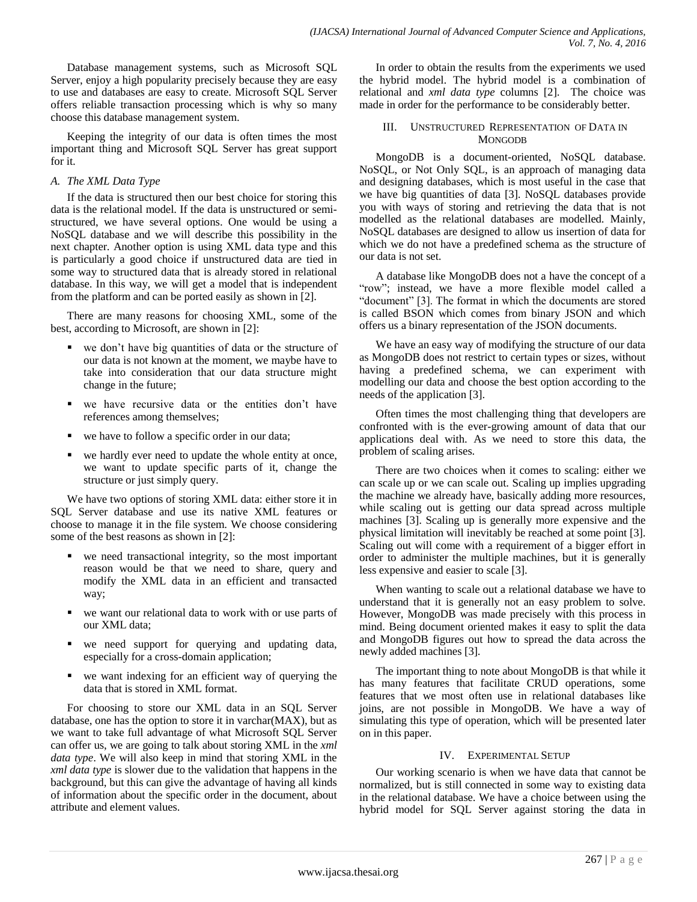Database management systems, such as Microsoft SQL Server, enjoy a high popularity precisely because they are easy to use and databases are easy to create. Microsoft SQL Server offers reliable transaction processing which is why so many choose this database management system.

Keeping the integrity of our data is often times the most important thing and Microsoft SQL Server has great support for it.

# *A. The XML Data Type*

If the data is structured then our best choice for storing this data is the relational model. If the data is unstructured or semistructured, we have several options. One would be using a NoSQL database and we will describe this possibility in the next chapter. Another option is using XML data type and this is particularly a good choice if unstructured data are tied in some way to structured data that is already stored in relational database. In this way, we will get a model that is independent from the platform and can be ported easily as shown in [2].

There are many reasons for choosing XML, some of the best, according to Microsoft, are shown in [2]:

- we don't have big quantities of data or the structure of our data is not known at the moment, we maybe have to take into consideration that our data structure might change in the future;
- we have recursive data or the entities don't have references among themselves;
- we have to follow a specific order in our data;
- we hardly ever need to update the whole entity at once, we want to update specific parts of it, change the structure or just simply query.

We have two options of storing XML data: either store it in SQL Server database and use its native XML features or choose to manage it in the file system. We choose considering some of the best reasons as shown in [2]:

- we need transactional integrity, so the most important reason would be that we need to share, query and modify the XML data in an efficient and transacted way;
- we want our relational data to work with or use parts of our XML data;
- we need support for querying and updating data, especially for a cross-domain application;
- we want indexing for an efficient way of querying the data that is stored in XML format.

For choosing to store our XML data in an SQL Server database, one has the option to store it in varchar(MAX), but as we want to take full advantage of what Microsoft SQL Server can offer us, we are going to talk about storing XML in the *xml data type*. We will also keep in mind that storing XML in the *xml data type* is slower due to the validation that happens in the background, but this can give the advantage of having all kinds of information about the specific order in the document, about attribute and element values.

In order to obtain the results from the experiments we used the hybrid model. The hybrid model is a combination of relational and *xml data type* columns [2]. The choice was made in order for the performance to be considerably better.

# III. UNSTRUCTURED REPRESENTATION OF DATA IN **MONGODB**

MongoDB is a document-oriented, NoSQL database. NoSQL, or Not Only SQL, is an approach of managing data and designing databases, which is most useful in the case that we have big quantities of data [3]. NoSQL databases provide you with ways of storing and retrieving the data that is not modelled as the relational databases are modelled. Mainly, NoSQL databases are designed to allow us insertion of data for which we do not have a predefined schema as the structure of our data is not set.

A database like MongoDB does not a have the concept of a "row"; instead, we have a more flexible model called a "document" [3]. The format in which the documents are stored is called BSON which comes from binary JSON and which offers us a binary representation of the JSON documents.

We have an easy way of modifying the structure of our data as MongoDB does not restrict to certain types or sizes, without having a predefined schema, we can experiment with modelling our data and choose the best option according to the needs of the application [3].

Often times the most challenging thing that developers are confronted with is the ever-growing amount of data that our applications deal with. As we need to store this data, the problem of scaling arises.

There are two choices when it comes to scaling: either we can scale up or we can scale out. Scaling up implies upgrading the machine we already have, basically adding more resources, while scaling out is getting our data spread across multiple machines [3]. Scaling up is generally more expensive and the physical limitation will inevitably be reached at some point [3]. Scaling out will come with a requirement of a bigger effort in order to administer the multiple machines, but it is generally less expensive and easier to scale [3].

When wanting to scale out a relational database we have to understand that it is generally not an easy problem to solve. However, MongoDB was made precisely with this process in mind. Being document oriented makes it easy to split the data and MongoDB figures out how to spread the data across the newly added machines [3].

The important thing to note about MongoDB is that while it has many features that facilitate CRUD operations, some features that we most often use in relational databases like joins, are not possible in MongoDB. We have a way of simulating this type of operation, which will be presented later on in this paper.

# IV. EXPERIMENTAL SETUP

Our working scenario is when we have data that cannot be normalized, but is still connected in some way to existing data in the relational database. We have a choice between using the hybrid model for SQL Server against storing the data in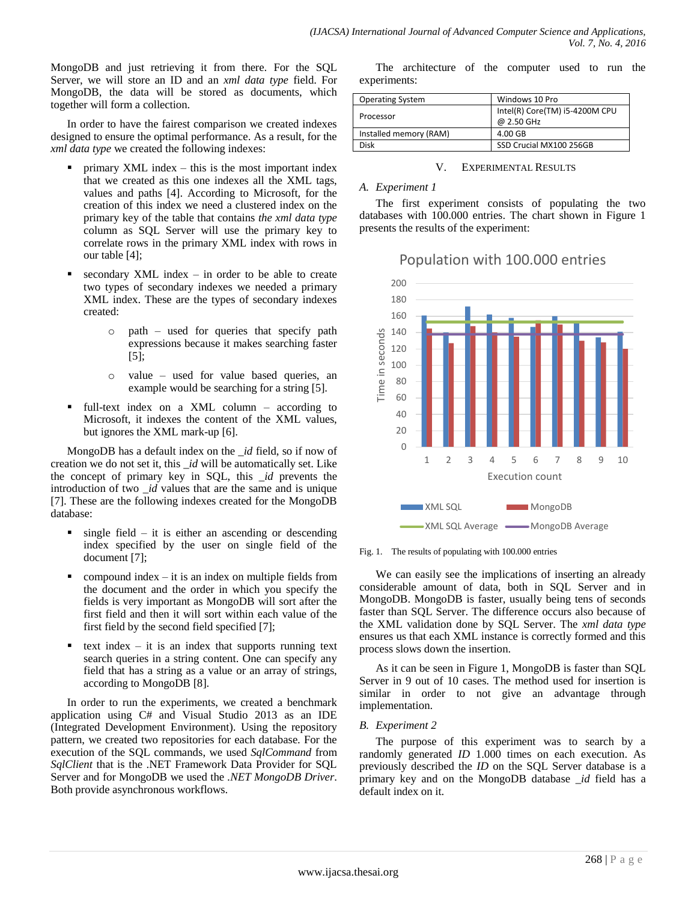MongoDB and just retrieving it from there. For the SQL Server, we will store an ID and an *xml data type* field. For MongoDB, the data will be stored as documents, which together will form a collection.

In order to have the fairest comparison we created indexes designed to ensure the optimal performance. As a result, for the *xml data type* we created the following indexes:

- primary XML index this is the most important index that we created as this one indexes all the XML tags, values and paths [4]. According to Microsoft, for the creation of this index we need a clustered index on the primary key of the table that contains *the xml data type* column as SQL Server will use the primary key to correlate rows in the primary XML index with rows in our table [4];
- secondary XML index in order to be able to create two types of secondary indexes we needed a primary XML index. These are the types of secondary indexes created:
	- o path used for queries that specify path expressions because it makes searching faster [5];
	- o value used for value based queries, an example would be searching for a string [5].
- full-text index on a XML column according to Microsoft, it indexes the content of the XML values, but ignores the XML mark-up [6].

MongoDB has a default index on the *\_id* field, so if now of creation we do not set it, this *\_id* will be automatically set. Like the concept of primary key in SQL, this *\_id* prevents the introduction of two *\_id* values that are the same and is unique [7]. These are the following indexes created for the MongoDB database:

- $\blacksquare$  single field it is either an ascending or descending index specified by the user on single field of the document [7];
- compound index  $-$  it is an index on multiple fields from the document and the order in which you specify the fields is very important as MongoDB will sort after the first field and then it will sort within each value of the first field by the second field specified [7];
- text index  $-$  it is an index that supports running text search queries in a string content. One can specify any field that has a string as a value or an array of strings, according to MongoDB [8].

In order to run the experiments, we created a benchmark application using C# and Visual Studio 2013 as an IDE (Integrated Development Environment). Using the repository pattern, we created two repositories for each database. For the execution of the SQL commands, we used *SqlCommand* from *SqlClient* that is the .NET Framework Data Provider for SQL Server and for MongoDB we used the *.NET MongoDB Driver*. Both provide asynchronous workflows.

The architecture of the computer used to run the experiments:

| <b>Operating System</b> | Windows 10 Pro                 |
|-------------------------|--------------------------------|
| Processor               | Intel(R) Core(TM) i5-4200M CPU |
|                         | @ 2.50 GHz                     |
| Installed memory (RAM)  | $4.00$ GB                      |
| Disk                    | SSD Crucial MX100 256GB        |

V. EXPERIMENTAL RESULTS

## *A. Experiment 1*

The first experiment consists of populating the two databases with 100.000 entries. The chart shown in Figure 1 presents the results of the experiment:

# Population with 100.000 entries



Fig. 1. The results of populating with 100.000 entries

We can easily see the implications of inserting an already considerable amount of data, both in SQL Server and in MongoDB. MongoDB is faster, usually being tens of seconds faster than SQL Server. The difference occurs also because of the XML validation done by SQL Server. The *xml data type* ensures us that each XML instance is correctly formed and this process slows down the insertion.

As it can be seen in Figure 1, MongoDB is faster than SQL Server in 9 out of 10 cases. The method used for insertion is similar in order to not give an advantage through implementation.

# *B. Experiment 2*

The purpose of this experiment was to search by a randomly generated *ID* 1.000 times on each execution. As previously described the *ID* on the SQL Server database is a primary key and on the MongoDB database *\_id* field has a default index on it.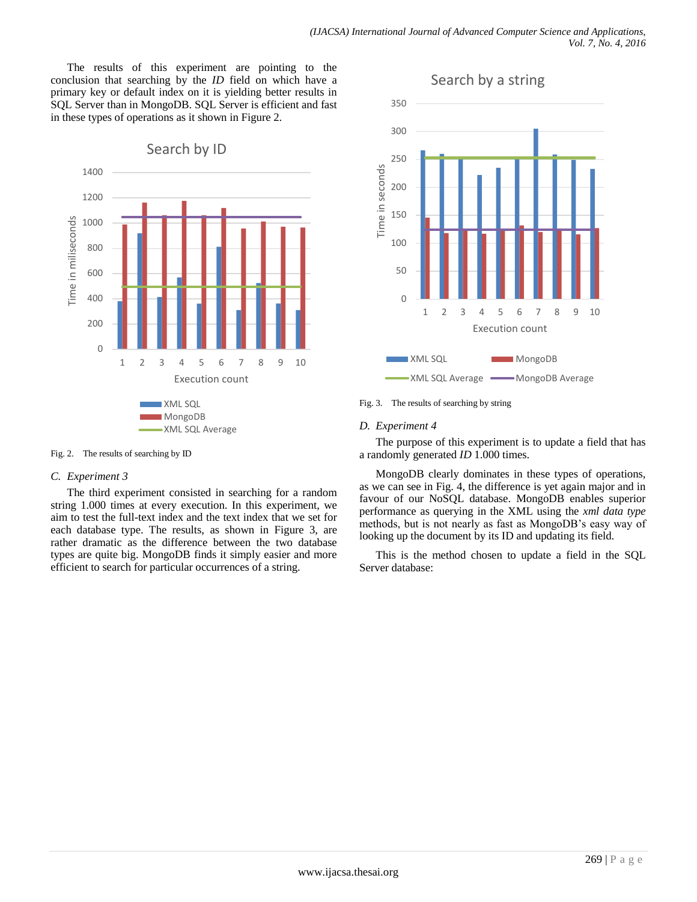The results of this experiment are pointing to the conclusion that searching by the *ID* field on which have a primary key or default index on it is yielding better results in SQL Server than in MongoDB. SQL Server is efficient and fast in these types of operations as it shown in Figure 2.



Fig. 2. The results of searching by ID

## *C. Experiment 3*

The third experiment consisted in searching for a random string 1.000 times at every execution. In this experiment, we aim to test the full-text index and the text index that we set for each database type. The results, as shown in Figure 3, are rather dramatic as the difference between the two database types are quite big. MongoDB finds it simply easier and more efficient to search for particular occurrences of a string.



Fig. 3. The results of searching by string

# *D. Experiment 4*

The purpose of this experiment is to update a field that has a randomly generated *ID* 1.000 times.

MongoDB clearly dominates in these types of operations, as we can see in Fig. 4, the difference is yet again major and in favour of our NoSQL database. MongoDB enables superior performance as querying in the XML using the *xml data type* methods, but is not nearly as fast as MongoDB's easy way of looking up the document by its ID and updating its field.

This is the method chosen to update a field in the SQL Server database: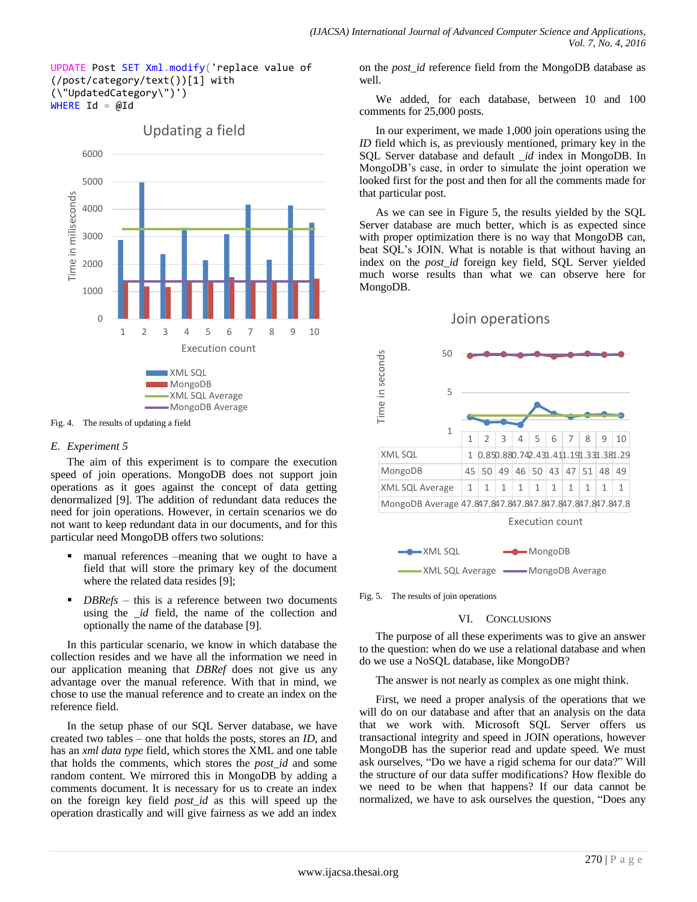#### UPDATE Post SET Xml.modify('replace value of (/post/category/text())[1] with (\"UpdatedCategory\")') WHERE  $Id = @Id$



Updating a field

#### Fig. 4. The results of updating a field

## *E. Experiment 5*

The aim of this experiment is to compare the execution speed of join operations. MongoDB does not support join operations as it goes against the concept of data getting denormalized [9]. The addition of redundant data reduces the need for join operations. However, in certain scenarios we do not want to keep redundant data in our documents, and for this particular need MongoDB offers two solutions:

- manual references –meaning that we ought to have a field that will store the primary key of the document where the related data resides [9];
- *DBRefs* this is a reference between two documents using the *id* field, the name of the collection and optionally the name of the database [9].

In this particular scenario, we know in which database the collection resides and we have all the information we need in our application meaning that *DBRef* does not give us any advantage over the manual reference. With that in mind, we chose to use the manual reference and to create an index on the reference field.

In the setup phase of our SQL Server database, we have created two tables – one that holds the posts, stores an *ID*, and has an *xml data type* field, which stores the XML and one table that holds the comments, which stores the *post\_id* and some random content. We mirrored this in MongoDB by adding a comments document. It is necessary for us to create an index on the foreign key field *post\_id* as this will speed up the operation drastically and will give fairness as we add an index on the *post\_id* reference field from the MongoDB database as well.

We added, for each database, between 10 and 100 comments for 25,000 posts.

In our experiment, we made 1,000 join operations using the *ID* field which is, as previously mentioned, primary key in the SQL Server database and default *\_id* index in MongoDB. In MongoDB's case, in order to simulate the joint operation we looked first for the post and then for all the comments made for that particular post.

As we can see in Figure 5, the results yielded by the SQL Server database are much better, which is as expected since with proper optimization there is no way that MongoDB can, beat SQL's JOIN. What is notable is that without having an index on the *post\_id* foreign key field, SQL Server yielded much worse results than what we can observe here for MongoDB.





Fig. 5. The results of join operations

#### VI. CONCLUSIONS

The purpose of all these experiments was to give an answer to the question: when do we use a relational database and when do we use a NoSQL database, like MongoDB?

The answer is not nearly as complex as one might think.

First, we need a proper analysis of the operations that we will do on our database and after that an analysis on the data that we work with. Microsoft SQL Server offers us transactional integrity and speed in JOIN operations, however MongoDB has the superior read and update speed. We must ask ourselves, "Do we have a rigid schema for our data?" Will the structure of our data suffer modifications? How flexible do we need to be when that happens? If our data cannot be normalized, we have to ask ourselves the question, "Does any